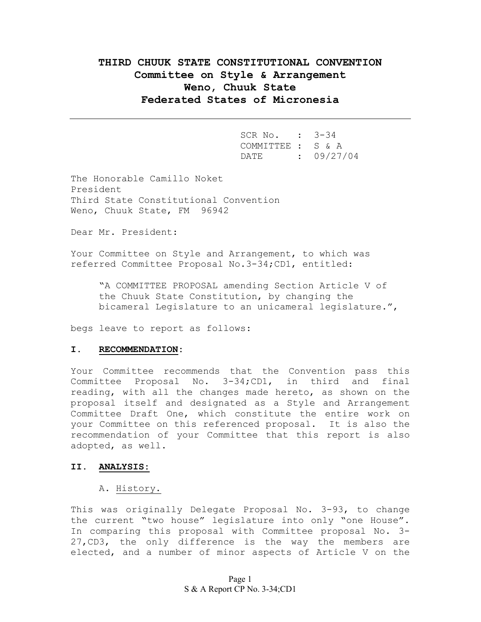# **THIRD CHUUK STATE CONSTITUTIONAL CONVENTION Committee on Style & Arrangement Weno, Chuuk State Federated States of Micronesia**

| SCR No. : 3-34    |            |
|-------------------|------------|
| COMMITTEE : S & A |            |
| DATE              | : 09/27/04 |

The Honorable Camillo Noket President Third State Constitutional Convention Weno, Chuuk State, FM 96942

Dear Mr. President:

Your Committee on Style and Arrangement, to which was referred Committee Proposal No.3-34;CD1, entitled:

"A COMMITTEE PROPOSAL amending Section Article V of the Chuuk State Constitution, by changing the bicameral Legislature to an unicameral legislature.",

begs leave to report as follows:

#### **I. RECOMMENDATION:**

Your Committee recommends that the Convention pass this Committee Proposal No. 3-34;CD1, in third and final reading, with all the changes made hereto, as shown on the proposal itself and designated as a Style and Arrangement Committee Draft One, which constitute the entire work on your Committee on this referenced proposal. It is also the recommendation of your Committee that this report is also adopted, as well.

#### **II. ANALYSIS:**

## A. History.

This was originally Delegate Proposal No. 3-93, to change the current "two house" legislature into only "one House". In comparing this proposal with Committee proposal No. 3- 27,CD3, the only difference is the way the members are elected, and a number of minor aspects of Article V on the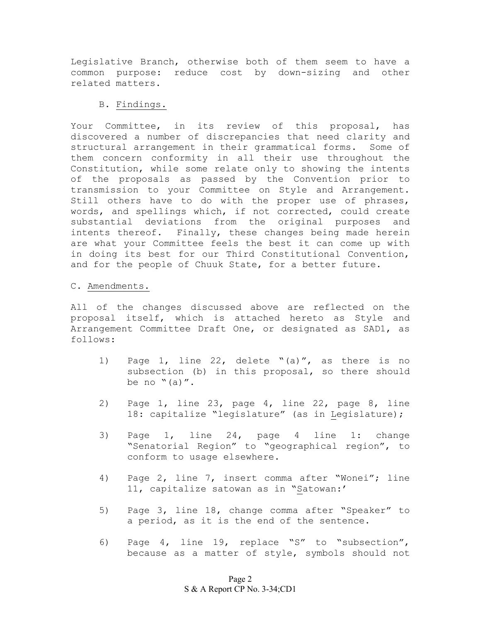Legislative Branch, otherwise both of them seem to have a common purpose: reduce cost by down-sizing and other related matters.

## B. Findings.

Your Committee, in its review of this proposal, has discovered a number of discrepancies that need clarity and structural arrangement in their grammatical forms. Some of them concern conformity in all their use throughout the Constitution, while some relate only to showing the intents of the proposals as passed by the Convention prior to transmission to your Committee on Style and Arrangement. Still others have to do with the proper use of phrases, words, and spellings which, if not corrected, could create substantial deviations from the original purposes and intents thereof. Finally, these changes being made herein are what your Committee feels the best it can come up with in doing its best for our Third Constitutional Convention, and for the people of Chuuk State, for a better future.

#### C. Amendments.

All of the changes discussed above are reflected on the proposal itself, which is attached hereto as Style and Arrangement Committee Draft One, or designated as SAD1, as follows:

- 1) Page 1, line 22, delete "(a)", as there is no subsection (b) in this proposal, so there should be no  $"$  (a)".
- 2) Page 1, line 23, page 4, line 22, page 8, line 18: capitalize "legislature" (as in Legislature);
- 3) Page 1, line 24, page 4 line 1: change "Senatorial Region" to "geographical region", to conform to usage elsewhere.
- 4) Page 2, line 7, insert comma after "Wonei"; line 11, capitalize satowan as in "Satowan:'
- 5) Page 3, line 18, change comma after "Speaker" to a period, as it is the end of the sentence.
- 6) Page 4, line 19, replace "S" to "subsection", because as a matter of style, symbols should not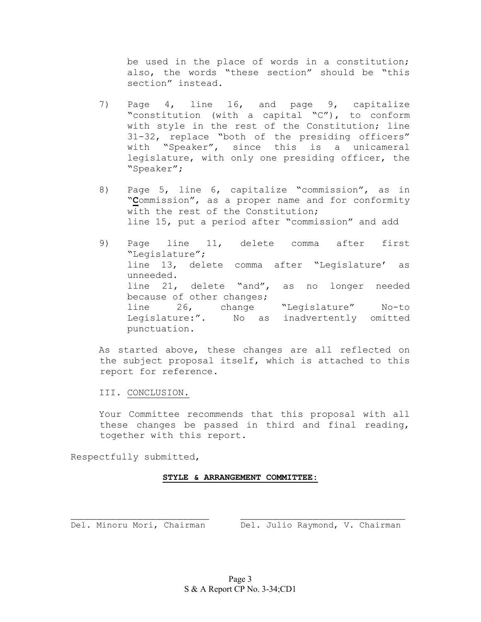be used in the place of words in a constitution; also, the words "these section" should be "this section" instead.

- 7) Page 4, line 16, and page 9, capitalize "constitution (with a capital "C"), to conform with style in the rest of the Constitution; line 31-32, replace "both of the presiding officers" with "Speaker", since this is a unicameral legislature, with only one presiding officer, the "Speaker";
- 8) Page 5, line 6, capitalize "commission", as in "**C**ommission", as a proper name and for conformity with the rest of the Constitution; line 15, put a period after "commission" and add
- 9) Page line 11, delete comma after first "Legislature"; line 13, delete comma after "Legislature' as unneeded. line 21, delete "and", as no longer needed because of other changes; line 26, change "Legislature" No-to Legislature:". No as inadvertently omitted punctuation.

As started above, these changes are all reflected on the subject proposal itself, which is attached to this report for reference.

III. CONCLUSION.

Your Committee recommends that this proposal with all these changes be passed in third and final reading, together with this report.

Respectfully submitted,

## **STYLE & ARRANGEMENT COMMITTEE:**

\_\_\_\_\_\_\_\_\_\_\_\_\_\_\_\_\_\_\_\_\_ \_\_\_\_\_\_\_\_\_\_\_\_\_\_\_\_\_\_\_\_\_\_\_\_\_ Del. Minoru Mori, Chairman Del. Julio Raymond, V. Chairman